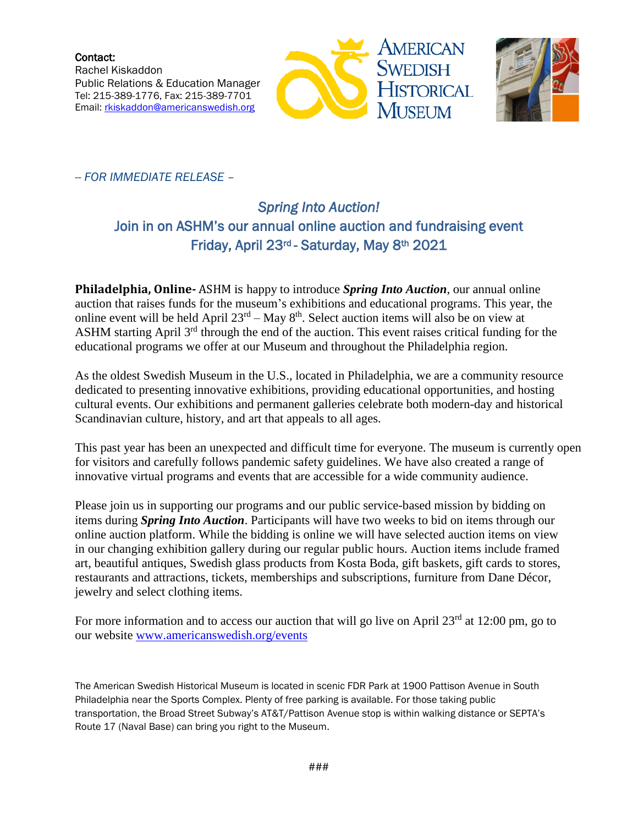Contact: Rachel Kiskaddon Public Relations & Education Manager Tel: 215-389-1776, Fax: 215-389-7701 Email: [rkiskaddon@americanswedish.org](mailto:rkiskaddon@americanswedish.org)





-- *FOR IMMEDIATE RELEASE* –

## *Spring Into Auction!*  Join in on ASHM's our annual online auction and fundraising event Friday, April 23<sup>rd</sup> - Saturday, May 8<sup>th</sup> 2021

**Philadelphia, Online-** ASHM is happy to introduce *Spring Into Auction*, our annual online auction that raises funds for the museum's exhibitions and educational programs. This year, the online event will be held April  $23^{rd}$  – May  $8^{th}$ . Select auction items will also be on view at ASHM starting April 3<sup>rd</sup> through the end of the auction. This event raises critical funding for the educational programs we offer at our Museum and throughout the Philadelphia region.

As the oldest Swedish Museum in the U.S., located in Philadelphia, we are a community resource dedicated to presenting innovative exhibitions, providing educational opportunities, and hosting cultural events. Our exhibitions and permanent galleries celebrate both modern-day and historical Scandinavian culture, history, and art that appeals to all ages.

This past year has been an unexpected and difficult time for everyone. The museum is currently open for visitors and carefully follows pandemic safety guidelines. We have also created a range of innovative virtual programs and events that are accessible for a wide community audience.

Please join us in supporting our programs and our public service-based mission by bidding on items during *Spring Into Auction*. Participants will have two weeks to bid on items through our online auction platform. While the bidding is online we will have selected auction items on view in our changing exhibition gallery during our regular public hours. Auction items include framed art, beautiful antiques, Swedish glass products from Kosta Boda, gift baskets, gift cards to stores, restaurants and attractions, tickets, memberships and subscriptions, furniture from Dane Décor, jewelry and select clothing items.

For more information and to access our auction that will go live on April  $23<sup>rd</sup>$  at 12:00 pm, go to our website [www.americanswedish.org/events](http://www.americanswedish.org/events)

The American Swedish Historical Museum is located in scenic FDR Park at 1900 Pattison Avenue in South Philadelphia near the Sports Complex. Plenty of free parking is available. For those taking public transportation, the Broad Street Subway's AT&T/Pattison Avenue stop is within walking distance or SEPTA's Route 17 (Naval Base) can bring you right to the Museum.